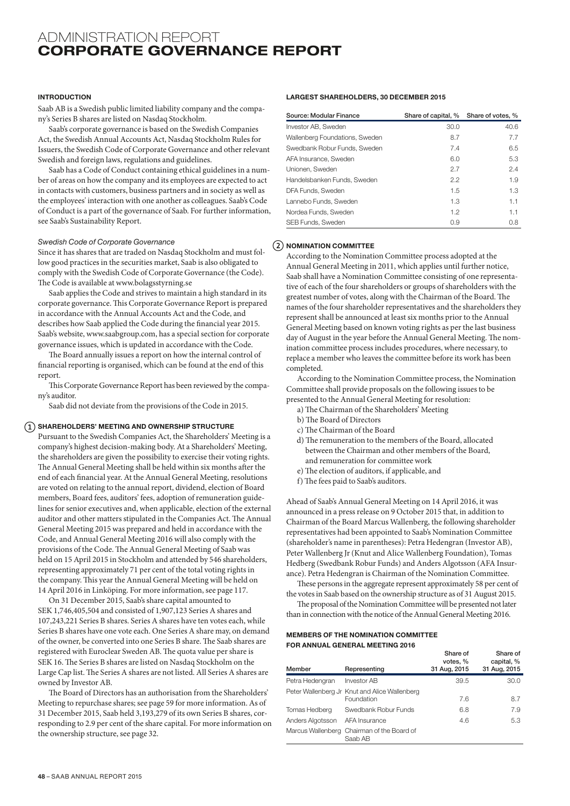## ADMINISTRATION REPORT CORPORATE GOVERNANCE REPORT

## INTRODUCTION

Saab AB is a Swedish public limited liability company and the company's Series B shares are listed on Nasdaq Stockholm.

Saab's corporate governance is based on the Swedish Companies Act, the Swedish Annual Accounts Act, Nasdaq Stockholm Rules for Issuers, the Swedish Code of Corporate Governance and other relevant Swedish and foreign laws, regulations and guidelines.

Saab has a Code of Conduct containing ethical guidelines in a number of areas on how the company and its employees are expected to act in contacts with customers, business partners and in society as well as the employees' interaction with one another as colleagues. Saab's Code of Conduct is a part of the governance of Saab. For further information, see Saab's Sustainability Report.

## *Swedish Code of Corporate Governance*

Since it has shares that are traded on Nasdaq Stockholm and must follow good practices in the securities market, Saab is also obligated to comply with the Swedish Code of Corporate Governance (the Code). The Code is available at www.bolagsstyrning.se

Saab applies the Code and strives to maintain a high standard in its corporate governance. This Corporate Governance Report is prepared in accordance with the Annual Accounts Act and the Code, and describes how Saab applied the Code during the financial year 2015. Saab's website, www.saabgroup.com, has a special section for corporate governance issues, which is updated in accordance with the Code.

The Board annually issues a report on how the internal control of financial reporting is organised, which can be found at the end of this report.

This Corporate Governance Report has been reviewed by the company's auditor.

Saab did not deviate from the provisions of the Code in 2015.

## $\Omega$  SHAREHOLDERS' MEETING AND OWNERSHIP STRUCTURE

Pursuant to the Swedish Companies Act, the Shareholders' Meeting is a company's highest decision-making body. At a Shareholders' Meeting, the shareholders are given the possibility to exercise their voting rights. The Annual General Meeting shall be held within six months after the end of each financial year. At the Annual General Meeting, resolutions are voted on relating to the annual report, dividend, election of Board members, Board fees, auditors' fees, adoption of remuneration guidelines for senior executives and, when applicable, election of the external auditor and other matters stipulated in the Companies Act. The Annual General Meeting 2015 was prepared and held in accordance with the Code, and Annual General Meeting 2016 will also comply with the provisions of the Code. The Annual General Meeting of Saab was held on 15 April 2015 in Stockholm and attended by 546 shareholders, representing approximately 71 per cent of the total voting rights in the company. This year the Annual General Meeting will be held on 14 April 2016 in Linköping. For more information, see page 117.

On 31 December 2015, Saab's share capital amounted to SEK 1,746,405,504 and consisted of 1,907,123 Series A shares and 107,243,221 Series B shares. Series A shares have ten votes each, while Series B shares have one vote each. One Series A share may, on demand of the owner, be converted into one Series B share. The Saab shares are registered with Euroclear Sweden AB. The quota value per share is SEK 16. The Series B shares are listed on Nasdaq Stockholm on the Large Cap list. The Series A shares are not listed. All Series A shares are owned by Investor AB.

The Board of Directors has an authorisation from the Shareholders' Meeting to repurchase shares; see page 59 for more information. As of 31 December 2015, Saab held 3,193,279 of its own Series B shares, corresponding to 2.9 per cent of the share capital. For more information on the ownership structure, see page 32.

## LARGEST SHAREHOLDERS, 30 DECEMBER 2015

| Source: Modular Finance        | Share of capital, % | Share of votes, % |
|--------------------------------|---------------------|-------------------|
| Investor AB, Sweden            | 30.0                | 40.6              |
| Wallenberg Foundations, Sweden | 8.7                 | 7.7               |
| Swedbank Robur Funds, Sweden   | 7.4                 | 6.5               |
| AFA Insurance, Sweden          | 6.0                 | 5.3               |
| Unionen, Sweden                | 2.7                 | 2.4               |
| Handelsbanken Funds, Sweden    | 2.2                 | 1.9               |
| DFA Funds, Sweden              | 1.5                 | 1.3               |
| Lannebo Funds, Sweden          | 1.3                 | 1.1               |
| Nordea Funds, Sweden           | 1.2                 | 1.1               |
| SEB Funds, Sweden              | 0.9                 | 0.8               |

## $(2)$  NOMINATION COMMITTEE

According to the Nomination Committee process adopted at the Annual General Meeting in 2011, which applies until further notice, Saab shall have a Nomination Committee consisting of one representative of each of the four shareholders or groups of shareholders with the greatest number of votes, along with the Chairman of the Board. The names of the four shareholder representatives and the shareholders they represent shall be announced at least six months prior to the Annual General Meeting based on known voting rights as per the last business day of August in the year before the Annual General Meeting. The nomination committee process includes procedures, where necessary, to replace a member who leaves the committee before its work has been completed.

According to the Nomination Committee process, the Nomination Committee shall provide proposals on the following issues to be presented to the Annual General Meeting for resolution:

- a) The Chairman of the Shareholders' Meeting
- b) The Board of Directors
- c) The Chairman of the Board
- d) The remuneration to the members of the Board, allocated between the Chairman and other members of the Board, and remuneration for committee work
- e) The election of auditors, if applicable, and
- f) The fees paid to Saab's auditors.

Ahead of Saab's Annual General Meeting on 14 April 2016, it was announced in a press release on 9 October 2015 that, in addition to Chairman of the Board Marcus Wallenberg, the following shareholder representatives had been appointed to Saab's Nomination Committee (shareholder's name in parentheses): Petra Hedengran (Investor AB), Peter Wallenberg Jr (Knut and Alice Wallenberg Foundation), Tomas Hedberg (Swedbank Robur Funds) and Anders Algotsson (AFA Insurance). Petra Hedengran is Chairman of the Nomination Committee.

These persons in the aggregate represent approximately 58 per cent of the votes in Saab based on the ownership structure as of 31 August 2015.

The proposal of the Nomination Committee will be presented not later than in connection with the notice of the Annual General Meeting 2016.

## MEMBERS OF THE NOMINATION COMMITTEE FOR ANNUAL GENERAL MEETING 2016

| Member           | Representing                                                | Share of<br>votes, %<br>31 Aug, 2015 | Share of<br>capital, %<br>31 Aug, 2015 |
|------------------|-------------------------------------------------------------|--------------------------------------|----------------------------------------|
| Petra Hedengran  | <b>Investor AB</b>                                          | 39.5                                 | 30.0                                   |
|                  | Peter Wallenberg Jr Knut and Alice Wallenberg<br>Foundation | 7.6                                  | 8.7                                    |
| Tomas Hedberg    | Swedbank Robur Funds                                        | 6.8                                  | 7.9                                    |
| Anders Algotsson | AFA Insurance                                               | 4.6                                  | 5.3                                    |
|                  | Marcus Wallenberg Chairman of the Board of<br>Saab AB       |                                      |                                        |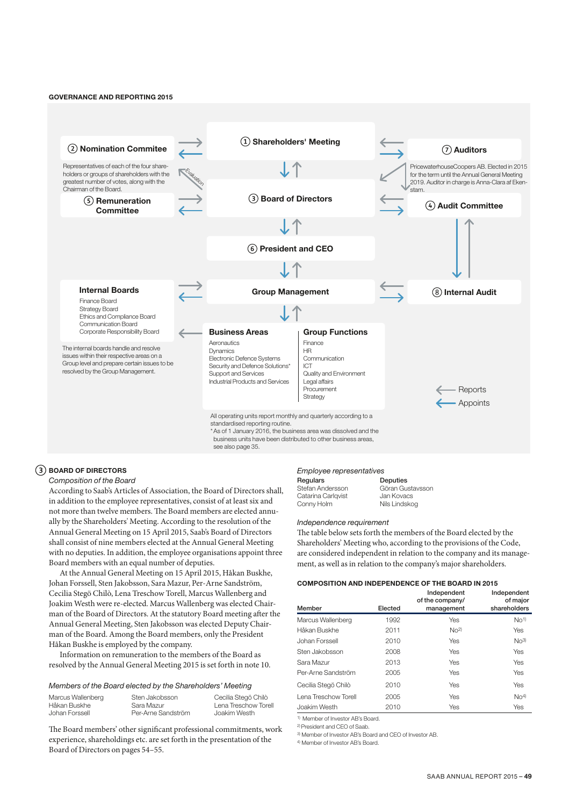#### GOVERNANCE AND REPORTING 2015



## BOARD OF DIRECTORS

## *Composition of the Board*

According to Saab's Articles of Association, the Board of Directors shall, in addition to the employee representatives, consist of at least six and not more than twelve members. The Board members are elected annually by the Shareholders' Meeting. According to the resolution of the Annual General Meeting on 15 April 2015, Saab's Board of Directors shall consist of nine members elected at the Annual General Meeting with no deputies. In addition, the employee organisations appoint three Board members with an equal number of deputies.

At the Annual General Meeting on 15 April 2015, Håkan Buskhe, Johan Forssell, Sten Jakobsson, Sara Mazur, Per-Arne Sandström, Cecilia Stegö Chilò, Lena Treschow Torell, Marcus Wallenberg and Joakim Westh were re-elected. Marcus Wallenberg was elected Chairman of the Board of Directors. At the statutory Board meeting after the Annual General Meeting, Sten Jakobsson was elected Deputy Chairman of the Board. Among the Board members, only the President Håkan Buskhe is employed by the company.

Information on remuneration to the members of the Board as resolved by the Annual General Meeting 2015 is set forth in note 10.

## *Members of the Board elected by the Shareholders' Meeting*

| Marcus Wallenberg | Sten Jakobsson     | Cecilia Stegö Chilò  |
|-------------------|--------------------|----------------------|
| Håkan Buskhe      | Sara Mazur         | Lena Treschow Torell |
| Johan Forssell    | Per-Arne Sandström | Joakim Westh         |

The Board members' other significant professional commitments, work experience, shareholdings etc. are set forth in the presentation of the Board of Directors on pages 54–55.

#### *Employee representatives*  **Deputies**

| Regulars        |
|-----------------|
| Stefan Anderss  |
| Catarina Carlgy |
| Conny Holm      |

son rist Göran Gustavsson Jan Kovacs Nils Lindskog

#### *Independence requirement*

The table below sets forth the members of the Board elected by the Shareholders' Meeting who, according to the provisions of the Code, are considered independent in relation to the company and its management, as well as in relation to the company's major shareholders.

## COMPOSITION AND INDEPENDENCE OF THE BOARD IN 2015

|                      |         | Independent<br>of the company/ | Independent<br>of major     |
|----------------------|---------|--------------------------------|-----------------------------|
| Member               | Elected | management                     | shareholders                |
| Marcus Wallenberg    | 1992    | Yes                            | No <sup>1</sup>             |
| Håkan Buskhe         | 2011    | $N0$ <sup>2)</sup>             | Yes                         |
| Johan Forssell       | 2010    | Yes                            | $N0$ 3)                     |
| Sten Jakobsson       | 2008    | Yes                            | Yes                         |
| Sara Mazur           | 2013    | Yes                            | Yes                         |
| Per-Arne Sandström   | 2005    | Yes                            | Yes                         |
| Cecilia Stegö Chilò  | 2010    | Yes                            | Yes                         |
| Lena Treschow Torell | 2005    | Yes                            | N <sub>O</sub> <sup>4</sup> |
| Joakim Westh         | 2010    | Yes                            | Yes                         |

1) Member of Investor AB's Board.

2) President and CEO of Saab.

3) Member of Investor AB's Board and CEO of Investor AB.

4) Member of Investor AB's Board.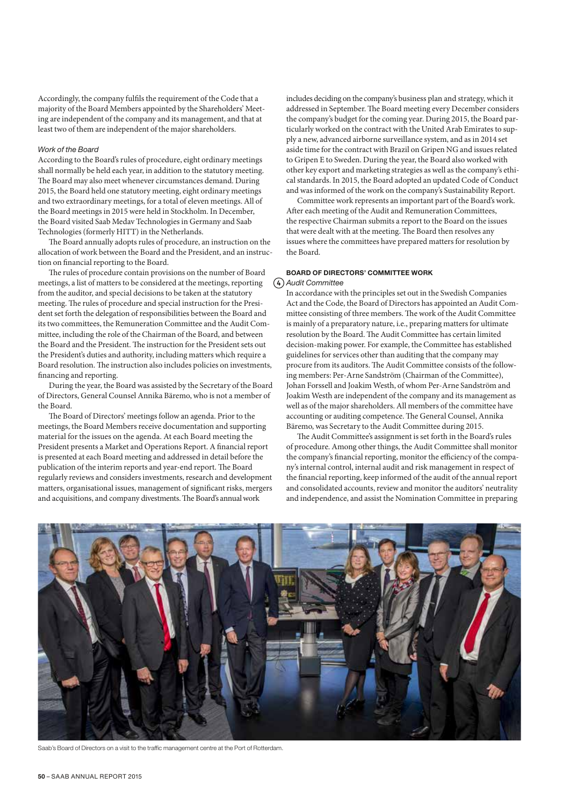Accordingly, the company fulfils the requirement of the Code that a majority of the Board Members appointed by the Shareholders' Meeting are independent of the company and its management, and that at least two of them are independent of the major shareholders.

### *Work of the Board*

According to the Board's rules of procedure, eight ordinary meetings shall normally be held each year, in addition to the statutory meeting. The Board may also meet whenever circumstances demand. During 2015, the Board held one statutory meeting, eight ordinary meetings and two extraordinary meetings, for a total of eleven meetings. All of the Board meetings in 2015 were held in Stockholm. In December, the Board visited Saab Medav Technologies in Germany and Saab Technologies (formerly HITT) in the Netherlands.

The Board annually adopts rules of procedure, an instruction on the allocation of work between the Board and the President, and an instruction on financial reporting to the Board.

The rules of procedure contain provisions on the number of Board meetings, a list of matters to be considered at the meetings, reporting from the auditor, and special decisions to be taken at the statutory meeting. The rules of procedure and special instruction for the President set forth the delegation of responsibilities between the Board and its two committees, the Remuneration Committee and the Audit Committee, including the role of the Chairman of the Board, and between the Board and the President. The instruction for the President sets out the President's duties and authority, including matters which require a Board resolution. The instruction also includes policies on investments, financing and reporting.

During the year, the Board was assisted by the Secretary of the Board of Directors, General Counsel Annika Bäremo, who is not a member of the Board.

The Board of Directors' meetings follow an agenda. Prior to the meetings, the Board Members receive documentation and supporting material for the issues on the agenda. At each Board meeting the President presents a Market and Operations Report. A financial report is presented at each Board meeting and addressed in detail before the publication of the interim reports and year-end report. The Board regularly reviews and considers investments, research and development matters, organisational issues, management of significant risks, mergers and acquisitions, and company divestments. The Board's annual work

includes deciding on the company's business plan and strategy, which it addressed in September. The Board meeting every December considers the company's budget for the coming year. During 2015, the Board particularly worked on the contract with the United Arab Emirates to supply a new, advanced airborne surveillance system, and as in 2014 set aside time for the contract with Brazil on Gripen NG and issues related to Gripen E to Sweden. During the year, the Board also worked with other key export and marketing strategies as well as the company's ethical standards. In 2015, the Board adopted an updated Code of Conduct and was informed of the work on the company's Sustainability Report.

Committee work represents an important part of the Board's work. After each meeting of the Audit and Remuneration Committees, the respective Chairman submits a report to the Board on the issues that were dealt with at the meeting. The Board then resolves any issues where the committees have prepared matters for resolution by the Board.

## BOARD OF DIRECTORS' COMMITTEE WORK *Audit Committee*

In accordance with the principles set out in the Swedish Companies Act and the Code, the Board of Directors has appointed an Audit Committee consisting of three members. The work of the Audit Committee is mainly of a preparatory nature, i.e., preparing matters for ultimate resolution by the Board. The Audit Committee has certain limited decision-making power. For example, the Committee has established guidelines for services other than auditing that the company may procure from its auditors. The Audit Committee consists of the following members: Per-Arne Sandström (Chairman of the Committee), Johan Forssell and Joakim Westh, of whom Per-Arne Sandström and Joakim Westh are independent of the company and its management as well as of the major shareholders. All members of the committee have accounting or auditing competence. The General Counsel, Annika Bäremo, was Secretary to the Audit Committee during 2015.

The Audit Committee's assignment is set forth in the Board's rules of procedure. Among other things, the Audit Committee shall monitor the company's financial reporting, monitor the efficiency of the company's internal control, internal audit and risk management in respect of the financial reporting, keep informed of the audit of the annual report and consolidated accounts, review and monitor the auditors' neutrality and independence, and assist the Nomination Committee in preparing



Saab's Board of Directors on a visit to the traffic management centre at the Port of Rotterdam.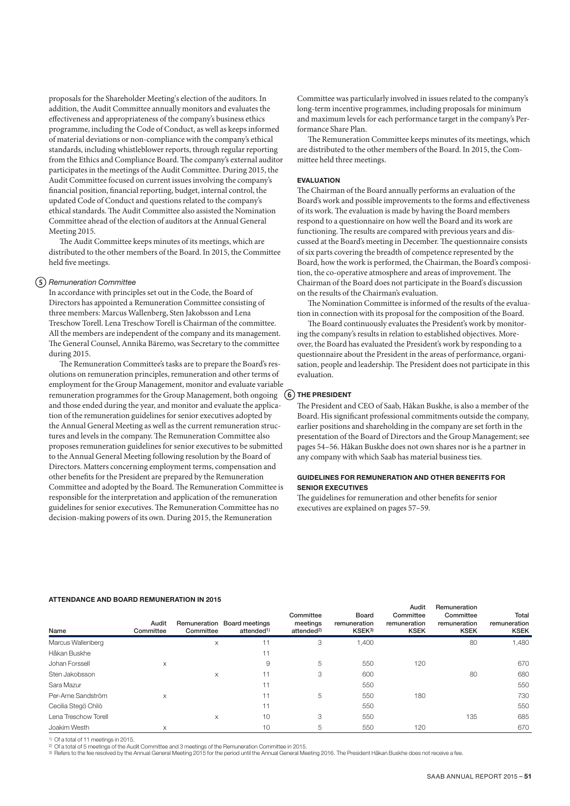proposals for the Shareholder Meeting's election of the auditors. In addition, the Audit Committee annually monitors and evaluates the effectiveness and appropriateness of the company's business ethics programme, including the Code of Conduct, as well as keeps informed of material deviations or non-compliance with the company's ethical standards, including whistleblower reports, through regular reporting from the Ethics and Compliance Board. The company's external auditor participates in the meetings of the Audit Committee. During 2015, the Audit Committee focused on current issues involving the company's financial position, financial reporting, budget, internal control, the updated Code of Conduct and questions related to the company's ethical standards. The Audit Committee also assisted the Nomination Committee ahead of the election of auditors at the Annual General Meeting 2015.

The Audit Committee keeps minutes of its meetings, which are distributed to the other members of the Board. In 2015, the Committee held five meetings.

## *Remuneration Committee*

In accordance with principles set out in the Code, the Board of Directors has appointed a Remuneration Committee consisting of three members: Marcus Wallenberg, Sten Jakobsson and Lena Treschow Torell. Lena Treschow Torell is Chairman of the committee. All the members are independent of the company and its management. The General Counsel, Annika Bäremo, was Secretary to the committee during 2015.

The Remuneration Committee's tasks are to prepare the Board's resolutions on remuneration principles, remuneration and other terms of employment for the Group Management, monitor and evaluate variable remuneration programmes for the Group Management, both ongoing (6) THE PRESIDENT and those ended during the year, and monitor and evaluate the application of the remuneration guidelines for senior executives adopted by the Annual General Meeting as well as the current remuneration structures and levels in the company. The Remuneration Committee also proposes remuneration guidelines for senior executives to be submitted to the Annual General Meeting following resolution by the Board of Directors. Matters concerning employment terms, compensation and other benefits for the President are prepared by the Remuneration Committee and adopted by the Board. The Remuneration Committee is responsible for the interpretation and application of the remuneration guidelines for senior executives. The Remuneration Committee has no decision-making powers of its own. During 2015, the Remuneration

Committee was particularly involved in issues related to the company's long-term incentive programmes, including proposals for minimum and maximum levels for each performance target in the company's Performance Share Plan.

The Remuneration Committee keeps minutes of its meetings, which are distributed to the other members of the Board. In 2015, the Committee held three meetings.

## EVALUATION

The Chairman of the Board annually performs an evaluation of the Board's work and possible improvements to the forms and effectiveness of its work. The evaluation is made by having the Board members respond to a questionnaire on how well the Board and its work are functioning. The results are compared with previous years and discussed at the Board's meeting in December. The questionnaire consists of six parts covering the breadth of competence represented by the Board, how the work is performed, the Chairman, the Board's composition, the co-operative atmosphere and areas of improvement. The Chairman of the Board does not participate in the Board's discussion on the results of the Chairman's evaluation.

The Nomination Committee is informed of the results of the evaluation in connection with its proposal for the composition of the Board.

The Board continuously evaluates the President's work by monitoring the company's results in relation to established objectives. Moreover, the Board has evaluated the President's work by responding to a questionnaire about the President in the areas of performance, organisation, people and leadership. The President does not participate in this evaluation.

The President and CEO of Saab, Håkan Buskhe, is also a member of the Board. His significant professional commitments outside the company, earlier positions and shareholding in the company are set forth in the presentation of the Board of Directors and the Group Management; see pages 54–56. Håkan Buskhe does not own shares nor is he a partner in any company with which Saab has material business ties.

## GUIDELINES FOR REMUNERATION AND OTHER BENEFITS FOR SENIOR EXECUTIVES

The guidelines for remuneration and other benefits for senior executives are explained on pages 57–59.

#### ATTENDANCE AND BOARD REMUNERATION IN 2015

| Name                 | Audit<br>Committee | Committee | Remuneration Board meetings<br>attended <sup>1)</sup> | Committee<br>meetings<br>attended <sup>2)</sup> | Board<br>remuneration<br>KSEK3) | Audit<br>Committee<br>remuneration<br><b>KSEK</b> | Remuneration<br>Committee<br>remuneration<br><b>KSEK</b> | Total<br>remuneration<br><b>KSEK</b> |
|----------------------|--------------------|-----------|-------------------------------------------------------|-------------------------------------------------|---------------------------------|---------------------------------------------------|----------------------------------------------------------|--------------------------------------|
| Marcus Wallenberg    |                    | X         | 11                                                    | 3                                               | 1,400                           |                                                   | 80                                                       | 1,480                                |
| Håkan Buskhe         |                    |           |                                                       |                                                 |                                 |                                                   |                                                          |                                      |
| Johan Forssell       | X                  |           | 9                                                     | 5                                               | 550                             | 120                                               |                                                          | 670                                  |
| Sten Jakobsson       |                    | X         | 11                                                    | 3                                               | 600                             |                                                   | 80                                                       | 680                                  |
| Sara Mazur           |                    |           | 11                                                    |                                                 | 550                             |                                                   |                                                          | 550                                  |
| Per-Arne Sandström   | X                  |           | 11                                                    | 5                                               | 550                             | 180                                               |                                                          | 730                                  |
| Cecilia Stegö Chilò  |                    |           | 11                                                    |                                                 | 550                             |                                                   |                                                          | 550                                  |
| Lena Treschow Torell |                    | X         | 10                                                    | 3                                               | 550                             |                                                   | 135                                                      | 685                                  |
| Joakim Westh         | X                  |           | 10                                                    | 5                                               | 550                             | 120                                               |                                                          | 670                                  |

1) Of a total of 11 meetings in 2015.

and the state of a meetings of the Audit Committee and 3 meetings of the Remuneration Committee in 2015.<br>[3] Of a total of 5 meetings of the Audit Committee and 3 meetings of the Remuneration Committee in 2016. The Preside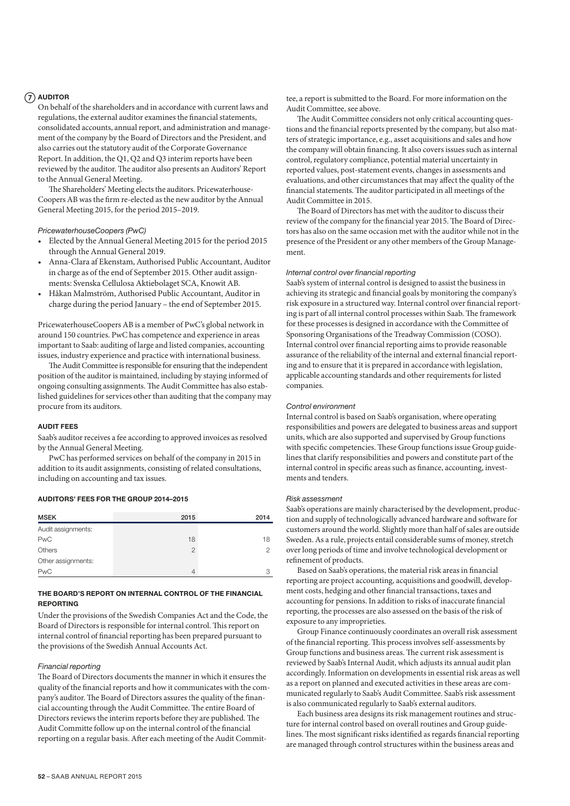## $(7)$  AUDITOR

On behalf of the shareholders and in accordance with current laws and regulations, the external auditor examines the financial statements, consolidated accounts, annual report, and administration and management of the company by the Board of Directors and the President, and also carries out the statutory audit of the Corporate Governance Report. In addition, the Q1, Q2 and Q3 interim reports have been reviewed by the auditor. The auditor also presents an Auditors' Report to the Annual General Meeting.

The Shareholders' Meeting elects the auditors. Pricewaterhouse-Coopers AB was the firm re-elected as the new auditor by the Annual General Meeting 2015, for the period 2015–2019.

#### *PricewaterhouseCoopers (PwC)*

- Elected by the Annual General Meeting 2015 for the period 2015 through the Annual General 2019.
- Anna-Clara af Ekenstam, Authorised Public Accountant, Auditor in charge as of the end of September 2015. Other audit assignments: Svenska Cellulosa Aktiebolaget SCA, Knowit AB.
- Håkan Malmström, Authorised Public Accountant, Auditor in charge during the period January – the end of September 2015.

PricewaterhouseCoopers AB is a member of PwC's global network in around 150 countries. PwC has competence and experience in areas important to Saab: auditing of large and listed companies, accounting issues, industry experience and practice with international business.

The Audit Committee is responsible for ensuring that the independent position of the auditor is maintained, including by staying informed of ongoing consulting assignments. The Audit Committee has also established guidelines for services other than auditing that the company may procure from its auditors.

### AUDIT FEES

Saab's auditor receives a fee according to approved invoices as resolved by the Annual General Meeting.

PwC has performed services on behalf of the company in 2015 in addition to its audit assignments, consisting of related consultations, including on accounting and tax issues.

#### AUDITORS' FEES FOR THE GROUP 2014–2015

| <b>MSEK</b>        | 2015           | 2014          |
|--------------------|----------------|---------------|
| Audit assignments: |                |               |
| <b>PwC</b>         | 18             | 18            |
| Others             | $\overline{2}$ | $\mathcal{P}$ |
| Other assignments: |                |               |
| <b>PwC</b>         |                | З             |

## THE BOARD'S REPORT ON INTERNAL CONTROL OF THE FINANCIAL REPORTING

Under the provisions of the Swedish Companies Act and the Code, the Board of Directors is responsible for internal control. This report on internal control of financial reporting has been prepared pursuant to the provisions of the Swedish Annual Accounts Act.

## *Financial reporting*

The Board of Directors documents the manner in which it ensures the quality of the financial reports and how it communicates with the company's auditor. The Board of Directors assures the quality of the financial accounting through the Audit Committee. The entire Board of Directors reviews the interim reports before they are published. The Audit Committe follow up on the internal control of the financial reporting on a regular basis. After each meeting of the Audit Committee, a report is submitted to the Board. For more information on the Audit Committee, see above.

The Audit Committee considers not only critical accounting questions and the financial reports presented by the company, but also matters of strategic importance, e.g., asset acquisitions and sales and how the company will obtain financing. It also covers issues such as internal control, regulatory compliance, potential material uncertainty in reported values, post-statement events, changes in assessments and evaluations, and other circumstances that may affect the quality of the financial statements. The auditor participated in all meetings of the Audit Committee in 2015.

The Board of Directors has met with the auditor to discuss their review of the company for the financial year 2015. The Board of Directors has also on the same occasion met with the auditor while not in the presence of the President or any other members of the Group Management.

### *Internal control over financial reporting*

Saab's system of internal control is designed to assist the business in achieving its strategic and financial goals by monitoring the company's risk exposure in a structured way. Internal control over financial reporting is part of all internal control processes within Saab. The framework for these processes is designed in accordance with the Committee of Sponsoring Organisations of the Treadway Commission (COSO). Internal control over financial reporting aims to provide reasonable assurance of the reliability of the internal and external financial reporting and to ensure that it is prepared in accordance with legislation, applicable accounting standards and other requirements for listed companies.

## *Control environment*

Internal control is based on Saab's organisation, where operating responsibilities and powers are delegated to business areas and support units, which are also supported and supervised by Group functions with specific competencies. These Group functions issue Group guidelines that clarify responsibilities and powers and constitute part of the internal control in specific areas such as finance, accounting, investments and tenders.

#### *Risk assessment*

Saab's operations are mainly characterised by the development, production and supply of technologically advanced hardware and software for customers around the world. Slightly more than half of sales are outside Sweden. As a rule, projects entail considerable sums of money, stretch over long periods of time and involve technological development or refinement of products.

Based on Saab's operations, the material risk areas in financial reporting are project accounting, acquisitions and goodwill, development costs, hedging and other financial transactions, taxes and accounting for pensions. In addition to risks of inaccurate financial reporting, the processes are also assessed on the basis of the risk of exposure to any improprieties.

Group Finance continuously coordinates an overall risk assessment of the financial reporting. This process involves self-assessments by Group functions and business areas. The current risk assessment is reviewed by Saab's Internal Audit, which adjusts its annual audit plan accordingly. Information on developments in essential risk areas as well as a report on planned and executed activities in these areas are communicated regularly to Saab's Audit Committee. Saab's risk assessment is also communicated regularly to Saab's external auditors.

Each business area designs its risk management routines and structure for internal control based on overall routines and Group guidelines. The most significant risks identified as regards financial reporting are managed through control structures within the business areas and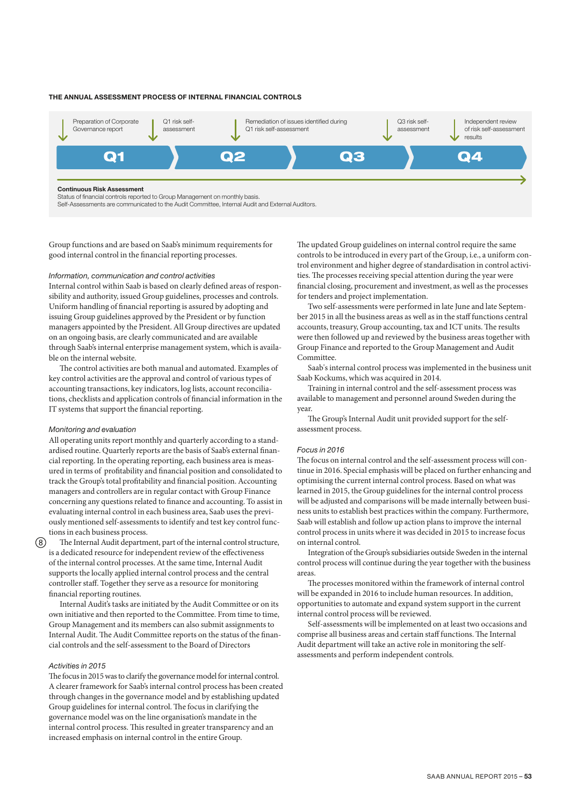### THE ANNUAL ASSESSMENT PROCESS OF INTERNAL FINANCIAL CONTROLS



Group functions and are based on Saab's minimum requirements for good internal control in the financial reporting processes.

#### *Information, communication and control activities*

Internal control within Saab is based on clearly defined areas of responsibility and authority, issued Group guidelines, processes and controls. Uniform handling of financial reporting is assured by adopting and issuing Group guidelines approved by the President or by function managers appointed by the President. All Group directives are updated on an ongoing basis, are clearly communicated and are available through Saab's internal enterprise management system, which is available on the internal website.

The control activities are both manual and automated. Examples of key control activities are the approval and control of various types of accounting transactions, key indicators, log lists, account reconciliations, checklists and application controls of financial information in the IT systems that support the financial reporting.

#### *Monitoring and evaluation*

All operating units report monthly and quarterly according to a standardised routine. Quarterly reports are the basis of Saab's external financial reporting. In the operating reporting, each business area is measured in terms of profitability and financial position and consolidated to track the Group's total profitability and financial position. Accounting managers and controllers are in regular contact with Group Finance concerning any questions related to finance and accounting. To assist in evaluating internal control in each business area, Saab uses the previously mentioned self-assessments to identify and test key control functions in each business process.

The Internal Audit department, part of the internal control structure, is a dedicated resource for independent review of the effectiveness of the internal control processes. At the same time, Internal Audit supports the locally applied internal control process and the central controller staff. Together they serve as a resource for monitoring financial reporting routines.

Internal Audit's tasks are initiated by the Audit Committee or on its own initiative and then reported to the Committee. From time to time, Group Management and its members can also submit assignments to Internal Audit. The Audit Committee reports on the status of the financial controls and the self-assessment to the Board of Directors

## *Activities in 2015*

The focus in 2015 was to clarify the governance model for internal control. A clearer framework for Saab's internal control process has been created through changes in the governance model and by establishing updated Group guidelines for internal control. The focus in clarifying the governance model was on the line organisation's mandate in the internal control process. This resulted in greater transparency and an increased emphasis on internal control in the entire Group.

The updated Group guidelines on internal control require the same controls to be introduced in every part of the Group, i.e., a uniform control environment and higher degree of standardisation in control activities. The processes receiving special attention during the year were financial closing, procurement and investment, as well as the processes for tenders and project implementation.

Two self-assessments were performed in late June and late September 2015 in all the business areas as well as in the staff functions central accounts, treasury, Group accounting, tax and ICT units. The results were then followed up and reviewed by the business areas together with Group Finance and reported to the Group Management and Audit Committee.

Saab's internal control process was implemented in the business unit Saab Kockums, which was acquired in 2014.

Training in internal control and the self-assessment process was available to management and personnel around Sweden during the year.

The Group's Internal Audit unit provided support for the selfassessment process.

#### *Focus in 2016*

The focus on internal control and the self-assessment process will continue in 2016. Special emphasis will be placed on further enhancing and optimising the current internal control process. Based on what was learned in 2015, the Group guidelines for the internal control process will be adjusted and comparisons will be made internally between business units to establish best practices within the company. Furthermore, Saab will establish and follow up action plans to improve the internal control process in units where it was decided in 2015 to increase focus on internal control.

Integration of the Group's subsidiaries outside Sweden in the internal control process will continue during the year together with the business areas.

The processes monitored within the framework of internal control will be expanded in 2016 to include human resources. In addition, opportunities to automate and expand system support in the current internal control process will be reviewed.

Self-assessments will be implemented on at least two occasions and comprise all business areas and certain staff functions. The Internal Audit department will take an active role in monitoring the selfassessments and perform independent controls.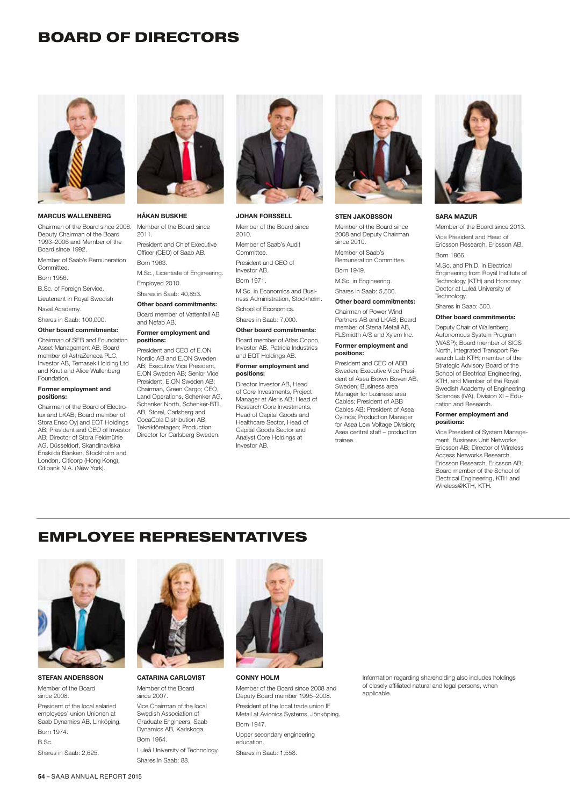## BOARD OF DIRECTORS



#### MARCUS WALLENBERG

Chairman of the Board since 2006. Deputy Chairman of the Board 1993–2006 and Member of the Board since 1992.

Member of Saab's Remuneration Committee.

Born 1956.

Foundation.

positions:

B.Sc. of Foreign Service.

Lieutenant in Royal Swedish

Naval Academy.

Shares in Saab: 100,000. Other board commitments:

Asset Management AB, Board member of AstraZeneca PLC Investor AB, Temasek Holding Ltd and Knut and Alice Wallenberg

Former employment and

Chairman of the Board of Electrolux and LKAB; Board member of Stora Enso Oyj and EQT Holdings AB; President and CEO of Investor AB; Director of Stora Feldmühle AG, Düsseldorf, Skandinaviska Enskilda Banken, Stockholm and London, Citicorp (Hong Kong), Citibank N.A. (New York).

#### Chairman of SEB and Foundation Former employment and positions:

HÅKAN BUSKHE Member of the Board since

President and Chief Executive Officer (CEO) of Saab AB.

M.Sc., Licentiate of Engineering.

2011.

Born 1963.

Employed 2010. Shares in Saab: 40,853. Other board commitments: Board member of Vattenfall AB

and Nefab AB.

President and CEO of E.ON. Nordic AB and E.ON Sweden AB; Executive Vice President, E.ON Sweden AB; Senior Vice President, E.ON Sweden AB; Chairman, Green Cargo; CEO, Land Operations, Schenker AG, Schenker North, Schenker-BTL AB, Storel, Carlsberg and CocaCola Distribution AB, Teknikföretagen; Production Director for Carlsberg Sweden.



## JOHAN FORSSELL

Member of the Board since 2010. Member of Saab's Audit Committee. President and CEO of Investor AB. Born 1971.

M.Sc. in Economics and Business Administration, Stockholm. School of Economics. Shares in Saab: 7,000.

Other board commitments:

Board member of Atlas Copco, Investor AB, Patricia Industries and EQT Holdings AB.

#### Former employment and positions:

Director Investor AB, Head of Core Investments, Project Manager at Aleris AB; Head of Research Core Investments, Head of Capital Goods and Healthcare Sector, Head of Capital Goods Sector and Analyst Core Holdings at Investor AB.



### STEN JAKOBSSON

Member of the Board since 2008 and Deputy Chairman since 2010. Member of Saab's Remuneration Committee. Born 1949.

M.Sc. in Engineering.

Shares in Saab: 5,500.

#### Other board commitments:

Chairman of Power Wind Partners AB and LKAB; Board member of Stena Metall AB, FLSmidth A/S and Xylem Inc.

#### Former employment and positions:

President and CEO of ABB Sweden; Executive Vice President of Asea Brown Boveri AB, Sweden; Business area Manager for business area Cables; President of ABB Cables AB; President of Asea Cylinda; Production Manager for Asea Low Voltage Division; Asea central staff – production trainee.



#### SARA MAZUR

Member of the Board since 2013.

Vice President and Head of Ericsson Research, Ericsson AB. Born 1966.

M.Sc. and Ph.D. in Electrical Engineering from Royal Institute of Technology (KTH) and Honorary Doctor at Luleå University of Technology.

Shares in Saab: 500.

## Other board commitments:

Deputy Chair of Wallenberg Autonomous System Program (WASP); Board member of SICS North, Integrated Transport Research Lab KTH; member of the Strategic Advisory Board of the School of Electrical Engineering, KTH, and Member of the Royal Swedish Academy of Engineering Sciences (IVA), Division XI – Education and Research.

#### Former employment and positions:

Vice President of System Management, Business Unit Networks, Ericsson AB; Director of Wireless Access Networks Research, Ericsson Research, Ericsson AB; Board member of the School of Electrical Engineering, KTH and Wireless@KTH, KTH.

# EMPLOYEE REPRESENTATIVES



STEFAN ANDERSSON Member of the Board since 2008. President of the local salaried employees' union Unionen at Saab Dynamics AB, Linköping. Born 1974. B.Sc.

Shares in Saab: 2,625.



CATARINA CARLQVIST Member of the Board since 2007. Vice Chairman of the local Swedish Association of

Graduate Engineers, Saab Dynamics AB, Karlskoga. Born 1964. Luleå University of Technology. Shares in Saab: 88.



CONNY HOLM

Member of the Board since 2008 and Deputy Board member 1995–2008. President of the local trade union IF Metall at Avionics Systems, Jönköping. Born 1947.

Upper secondary engineering education. Shares in Saab: 1,558.

Information regarding shareholding also includes holdings of closely affiliated natural and legal persons, when applicable.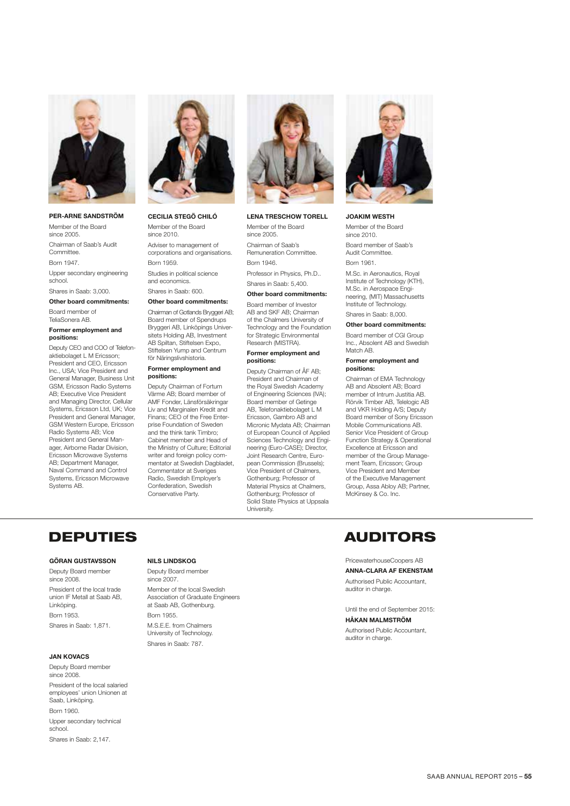

#### PER-ARNE SANDSTRÖM

Member of the Board since 2005. Chairman of Saab's Audit Committee. Born 1947.

Upper secondary engineering school.

Shares in Saab: 3,000.

## Other board commitments: Board member of

TeliaSonera AB.

#### Former employment and positions:

Deputy CEO and COO of Telefonaktiebolaget L M Ericsson; President and CEO, Ericsson Inc., USA; Vice President and General Manager, Business Unit GSM, Ericsson Radio Systems AB; Executive Vice President and Managing Director, Cellular Systems, Ericsson Ltd, UK; Vice President and General Manager, GSM Western Europe, Ericsson Radio Systems AB; Vice President and General Manager, Airborne Radar Division, Ericsson Microwave Systems AB; Department Manager, Naval Command and Control Systems, Ericsson Microwave Systems AB.



#### CECILIA STEGÖ CHILÓ Member of the Board

since 2010. Adviser to management of corporations and organisations. Born 1959.

Studies in political science and economics. Shares in Saab: 600.

#### Other board commitments:

Chairman of Gotlands Bryggeri AB; Board member of Spendrups Bryggeri AB, Linköpings Universitets Holding AB, Investment AB Spiltan, Stiftelsen Expo, Stiftelsen Yump and Centrum för Näringslivshistoria.

#### Former employment and positions:

Deputy Chairman of Fortum Värme AB; Board member of AMF Fonder, Länsförsäkringar Liv and Marginalen Kredit and Finans; CEO of the Free Enterprise Foundation of Sweden and the think tank Timbro; Cabinet member and Head of the Ministry of Culture; Editorial writer and foreign policy commentator at Swedish Dagbladet, Commentator at Sveriges Radio, Swedish Employer's Confederation, Swedish Conservative Party.



## LENA TRESCHOW TORELL

Member of the Board since 2005. Chairman of Saab's Remuneration Committee. Born 1946.

Professor in Physics, Ph.D.. Shares in Saab: 5,400.

#### Other board commitments:

Board member of Investor AB and SKF AB; Chairman of the Chalmers University of Technology and the Foundation for Strategic Environmental Research (MISTRA).

#### Former employment and positions:

Deputy Chairman of ÅF AB; President and Chairman of the Royal Swedish Academy of Engineering Sciences (IVA); Board member of Getinge AB, Telefonaktiebolaget L M Ericsson, Gambro AB and Micronic Mydata AB; Chairman of European Council of Applied Sciences Technology and Engineering (Euro-CASE); Director, Joint Research Centre, European Commission (Brussels); Vice President of Chalmers, Gothenburg; Professor of Material Physics at Chalmers, Gothenburg; Professor of Solid State Physics at Uppsala University.



JOAKIM WESTH Member of the Board since 2010. Board member of Saab's Audit Committee. Born 1961.

M.Sc. in Aeronautics, Royal Institute of Technology (KTH), M.Sc. in Aerospace Engineering, (MIT) Massachusetts Institute of Technology. Shares in Saab: 8,000.

#### Other board commitments:

Board member of CGI Group Inc., Absolent AB and Swedish Match AB.

#### Former employment and positions:

Chairman of EMA Technology AB and Absolent AB; Board member of Intrum Justitia AB. Rörvik Timber AB, Telelogic AB and VKR Holding A/S; Deputy Board member of Sony Ericsson Mobile Communications AB. Senior Vice President of Group Function Strategy & Operational Excellence at Ericsson and member of the Group Management Team, Ericsson; Group Vice President and Member of the Executive Management Group, Assa Abloy AB; Partner, McKinsey & Co. Inc.

### GÖRAN GUSTAVSSON

Deputy Board member since 2008 President of the local trade union IF Metall at Saab AB, Linköping. Born 1953. Shares in Saab: 1,871.

#### JAN KOVACS

Deputy Board member since 2008.

President of the local salaried employees' union Unionen at Saab, Linköping.

Born 1960. Upper secondary technical school. Shares in Saab: 2,147.

#### NILS LINDSKOG

Deputy Board member since 2007.

Member of the local Swedish Association of Graduate Engineers at Saab AB, Gothenburg. Born 1955. M.S.E.E. from Chalmers University of Technology. Shares in Saab: 787.

## DEPUTIES AUDITORS

#### PricewaterhouseCoopers AB

ANNA-CLARA AF EKENSTAM

Authorised Public Accountant, auditor in charge.

Until the end of September 2015:

### HÅKAN MALMSTRÖM

Authorised Public Accountant, auditor in charge.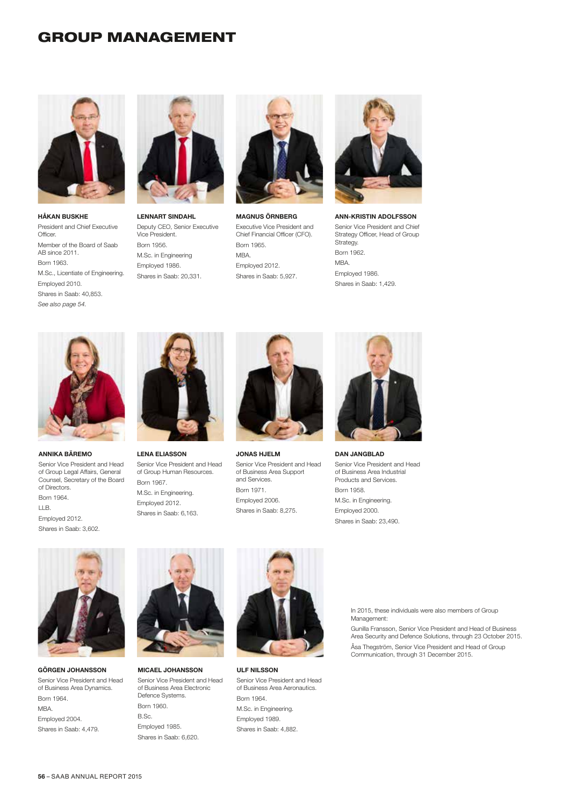## GROUP MANAGEMENT



HÅKAN BUSKHE President and Chief Executive Officer. Member of the Board of Saab AB since 2011. Born 1963. M.Sc., Licentiate of Engineering. Employed 2010. Shares in Saab: 40,853. *See also page 54.*



LENNART SINDAHL Deputy CEO, Senior Executive Vice President. Born 1956. M.Sc. in Engineering Employed 1986. Shares in Saab: 20,331.



MAGNUS ÖRNBERG Executive Vice President and Chief Financial Officer (CFO). Born 1965. MBA. Employed 2012. Shares in Saab: 5,927.



ANN-KRISTIN ADOLFSSON Senior Vice President and Chief Strategy Officer, Head of Group Strategy. Born 1962. MBA. Employed 1986. Shares in Saab: 1,429.



ANNIKA BÄREMO

Senior Vice President and Head of Group Legal Affairs, General Counsel, Secretary of the Board of Directors. Born 1964.

LLB. Employed 2012. Shares in Saab: 3,602.



LENA ELIASSON Senior Vice President and Head of Group Human Resources. Born 1967. M.Sc. in Engineering. Employed 2012. Shares in Saab: 6,163.



JONAS HJELM Senior Vice President and Head of Business Area Support and Services. Born 1971. Employed 2006. Shares in Saab: 8,275.



DAN JANGBLAD

Senior Vice President and Head of Business Area Industrial Products and Services. Born 1958. M.Sc. in Engineering. Employed 2000. Shares in Saab: 23,490.



GÖRGEN JOHANSSON Senior Vice President and Head of Business Area Dynamics. Born 1964. MBA. Employed 2004. Shares in Saab: 4,479.



MICAEL JOHANSSON Senior Vice President and Head of Business Area Electronic Defence Systems. Born 1960. B.Sc. Employed 1985. Shares in Saab: 6,620.



ULF NILSSON Senior Vice President and Head of Business Area Aeronautics. Born 1964. M.Sc. in Engineering. Employed 1989. Shares in Saab: 4,882.

In 2015, these individuals were also members of Group Management:

Gunilla Fransson, Senior Vice President and Head of Business Area Security and Defence Solutions, through 23 October 2015. Åsa Thegström, Senior Vice President and Head of Group Communication, through 31 December 2015.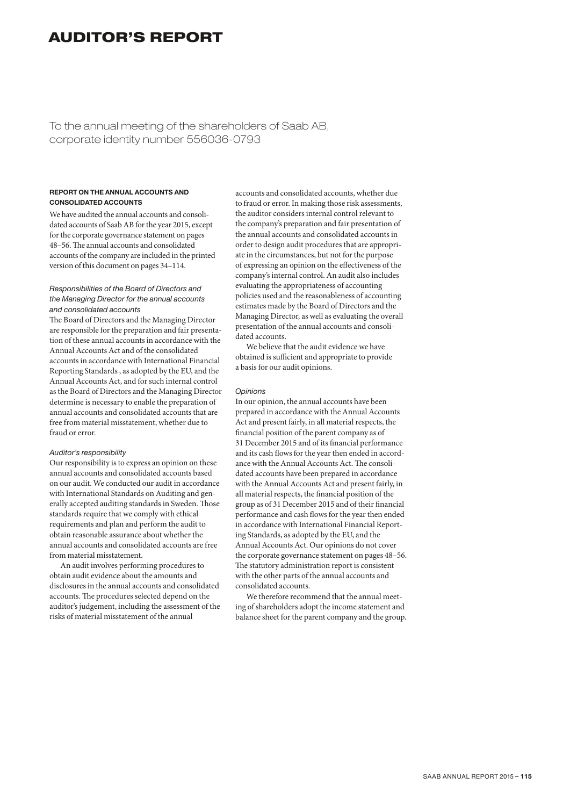# AUDITOR'S REPORT

To the annual meeting of the shareholders of Saab AB, corporate identity number 556036-0793

## REPORT ON THE ANNUAL ACCOUNTS AND CONSOLIDATED ACCOUNTS

We have audited the annual accounts and consolidated accounts of Saab AB for the year 2015, except for the corporate governance statement on pages 48–56. The annual accounts and consolidated accounts of the company are included in the printed version of this document on pages 34–114.

## *Responsibilities of the Board of Directors and the Managing Director for the annual accounts and consolidated accounts*

The Board of Directors and the Managing Director are responsible for the preparation and fair presentation of these annual accounts in accordance with the Annual Accounts Act and of the consolidated accounts in accordance with International Financial Reporting Standards , as adopted by the EU, and the Annual Accounts Act, and for such internal control as the Board of Directors and the Managing Director determine is necessary to enable the preparation of annual accounts and consolidated accounts that are free from material misstatement, whether due to fraud or error.

## *Auditor's responsibility*

Our responsibility is to express an opinion on these annual accounts and consolidated accounts based on our audit. We conducted our audit in accordance with International Standards on Auditing and generally accepted auditing standards in Sweden. Those standards require that we comply with ethical requirements and plan and perform the audit to obtain reasonable assurance about whether the annual accounts and consolidated accounts are free from material misstatement.

An audit involves performing procedures to obtain audit evidence about the amounts and disclosures in the annual accounts and consolidated accounts. The procedures selected depend on the auditor's judgement, including the assessment of the risks of material misstatement of the annual

accounts and consolidated accounts, whether due to fraud or error. In making those risk assessments, the auditor considers internal control relevant to the company's preparation and fair presentation of the annual accounts and consolidated accounts in order to design audit procedures that are appropriate in the circumstances, but not for the purpose of expressing an opinion on the effectiveness of the company's internal control. An audit also includes evaluating the appropriateness of accounting policies used and the reasonableness of accounting estimates made by the Board of Directors and the Managing Director, as well as evaluating the overall presentation of the annual accounts and consolidated accounts.

We believe that the audit evidence we have obtained is sufficient and appropriate to provide a basis for our audit opinions.

#### *Opinions*

In our opinion, the annual accounts have been prepared in accordance with the Annual Accounts Act and present fairly, in all material respects, the financial position of the parent company as of 31 December 2015 and of its financial performance and its cash flows for the year then ended in accordance with the Annual Accounts Act. The consolidated accounts have been prepared in accordance with the Annual Accounts Act and present fairly, in all material respects, the financial position of the group as of 31 December 2015 and of their financial performance and cash flows for the year then ended in accordance with International Financial Reporting Standards, as adopted by the EU, and the Annual Accounts Act. Our opinions do not cover the corporate governance statement on pages 48–56. The statutory administration report is consistent with the other parts of the annual accounts and consolidated accounts.

We therefore recommend that the annual meeting of shareholders adopt the income statement and balance sheet for the parent company and the group.